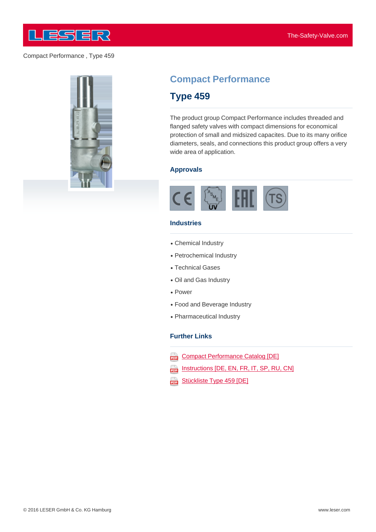

Compact Performance , Type 459



# **Compact Performance**

# **Type 459**

The product group Compact Performance includes threaded and flanged safety valves with compact dimensions for economical protection of small and midsized capacites. Due to its many orifice diameters, seals, and connections this product group offers a very wide area of application.

# **Approvals**



# **Industries**

- Chemical Industry
- Petrochemical Industry
- Technical Gases
- Oil and Gas Industry
- Power
- Food and Beverage Industry
- Pharmaceutical Industry

#### **Further Links**

- Compact Performance Catalog [DE] 203
- Instructions [DE, EN, FR, IT, SP, RU, CN] ana)
- Stückliste Type 459 [DE] œ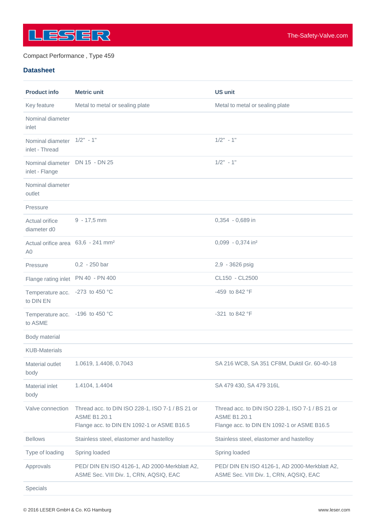

# Compact Performance , Type 459

# **Datasheet**

| <b>Product info</b>                                              | <b>Metric unit</b>                                                                                                    | <b>US unit</b>                                                                                                        |
|------------------------------------------------------------------|-----------------------------------------------------------------------------------------------------------------------|-----------------------------------------------------------------------------------------------------------------------|
| Key feature                                                      | Metal to metal or sealing plate                                                                                       | Metal to metal or sealing plate                                                                                       |
| Nominal diameter<br>inlet                                        |                                                                                                                       |                                                                                                                       |
| Nominal diameter 1/2" - 1"<br>inlet - Thread                     |                                                                                                                       | $1/2" - 1"$                                                                                                           |
| Nominal diameter<br>inlet - Flange                               | DN 15 - DN 25                                                                                                         | $1/2" - 1"$                                                                                                           |
| Nominal diameter<br>outlet                                       |                                                                                                                       |                                                                                                                       |
| Pressure                                                         |                                                                                                                       |                                                                                                                       |
| Actual orifice<br>diameter d0                                    | $9 - 17,5$ mm                                                                                                         | 0,354 - 0,689 in                                                                                                      |
| Actual orifice area 63,6 - 241 mm <sup>2</sup><br>A <sub>0</sub> |                                                                                                                       | 0,099 - 0,374 in <sup>2</sup>                                                                                         |
| Pressure                                                         | $0,2 - 250$ bar                                                                                                       | 2,9 - 3626 psig                                                                                                       |
| Flange rating inlet PN 40 - PN 400                               |                                                                                                                       | CL150 - CL2500                                                                                                        |
| Temperature acc. - 273 to 450 °C<br>to DIN EN                    |                                                                                                                       | -459 to 842 $\degree$ F                                                                                               |
| Temperature acc. - 196 to 450 °C<br>to ASME                      |                                                                                                                       | -321 to 842 °F                                                                                                        |
| Body material                                                    |                                                                                                                       |                                                                                                                       |
| <b>KUB-Materials</b>                                             |                                                                                                                       |                                                                                                                       |
| Material outlet<br>body                                          | 1.0619, 1.4408, 0.7043                                                                                                | SA 216 WCB, SA 351 CF8M, Duktil Gr. 60-40-18                                                                          |
| <b>Material inlet</b><br>body                                    | 1.4104, 1.4404                                                                                                        | SA 479 430, SA 479 316L                                                                                               |
| Valve connection                                                 | Thread acc. to DIN ISO 228-1, ISO 7-1 / BS 21 or<br><b>ASME B1.20.1</b><br>Flange acc. to DIN EN 1092-1 or ASME B16.5 | Thread acc. to DIN ISO 228-1, ISO 7-1 / BS 21 or<br><b>ASME B1.20.1</b><br>Flange acc. to DIN EN 1092-1 or ASME B16.5 |
| <b>Bellows</b>                                                   | Stainless steel, elastomer and hastelloy                                                                              | Stainless steel, elastomer and hastelloy                                                                              |
| Type of loading                                                  | Spring loaded                                                                                                         | Spring loaded                                                                                                         |
| Approvals                                                        | PED/ DIN EN ISO 4126-1, AD 2000-Merkblatt A2,<br>ASME Sec. VIII Div. 1, CRN, AQSIQ, EAC                               | PED/ DIN EN ISO 4126-1, AD 2000-Merkblatt A2,<br>ASME Sec. VIII Div. 1, CRN, AQSIQ, EAC                               |
| Specials                                                         |                                                                                                                       |                                                                                                                       |